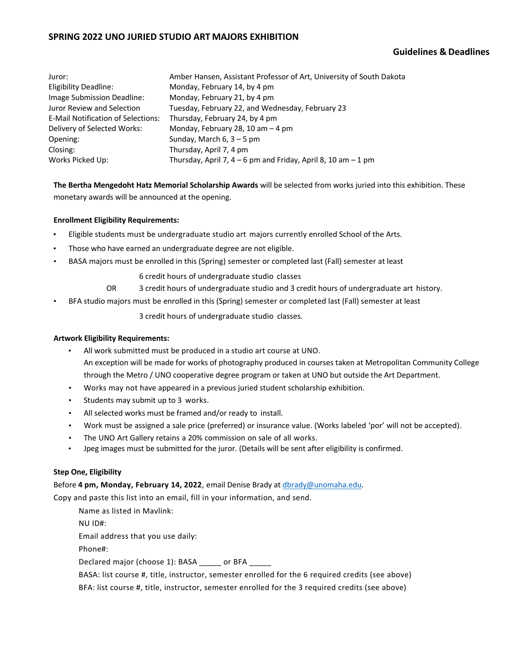# **SPRING 2022 UNO JURIED STUDIO ART MAJORS EXHIBITION**

# **Guidelines & Deadlines**

| Juror:                                    | Amber Hansen, Assistant Professor of Art, University of South Dakota |
|-------------------------------------------|----------------------------------------------------------------------|
| Eligibility Deadline:                     | Monday, February 14, by 4 pm                                         |
| Image Submission Deadline:                | Monday, February 21, by 4 pm                                         |
| Juror Review and Selection                | Tuesday, February 22, and Wednesday, February 23                     |
| <b>E-Mail Notification of Selections:</b> | Thursday, February 24, by 4 pm                                       |
| Delivery of Selected Works:               | Monday, February 28, 10 am $-$ 4 pm                                  |
| Opening:                                  | Sunday, March $6, 3-5$ pm                                            |
| Closing:                                  | Thursday, April 7, 4 pm                                              |
| Works Picked Up:                          | Thursday, April 7, $4-6$ pm and Friday, April 8, 10 am $-1$ pm       |

**The Bertha Mengedoht Hatz Memorial Scholarship Awards** will be selected from works juried into this exhibition. These monetary awards will be announced at the opening.

### **Enrollment Eligibility Requirements:**

- Eligible students must be undergraduate studio art majors currently enrolled School of the Arts.
- Those who have earned an undergraduate degree are not eligible.
- BASA majors must be enrolled in this (Spring) semester or completed last (Fall) semester at least

6 credit hours of undergraduate studio classes

- OR 3 credit hours of undergraduate studio and 3 credit hours of undergraduate art history.
- BFA studio majors must be enrolled in this (Spring) semester or completed last (Fall) semester at least

3 credit hours of undergraduate studio classes.

### **Artwork Eligibility Requirements:**

- All work submitted must be produced in a studio art course at UNO. An exception will be made for works of photography produced in courses taken at Metropolitan Community College through the Metro / UNO cooperative degree program or taken at UNO but outside the Art Department.
- Works may not have appeared in a previous juried student scholarship exhibition.
- Students may submit up to 3 works.
- All selected works must be framed and/or ready to install.
- Work must be assigned a sale price (preferred) or insurance value. (Works labeled 'por' will not be accepted).
- The UNO Art Gallery retains a 20% commission on sale of all works.
- Jpeg images must be submitted for the juror. (Details will be sent after eligibility is confirmed.

### **Step One, Eligibility**

Before **4 pm, Monday, February 14, 2022**, email Denise Brady at dbrady@unomaha.edu.

Copy and paste this list into an email, fill in your information, and send.

Name as listed in Mavlink:

NU ID#:

Email address that you use daily:

Phone#:

Declared major (choose 1): BASA \_\_\_\_\_ or BFA \_\_\_\_\_

BASA: list course #, title, instructor, semester enrolled for the 6 required credits (see above)

BFA: list course #, title, instructor, semester enrolled for the 3 required credits (see above)